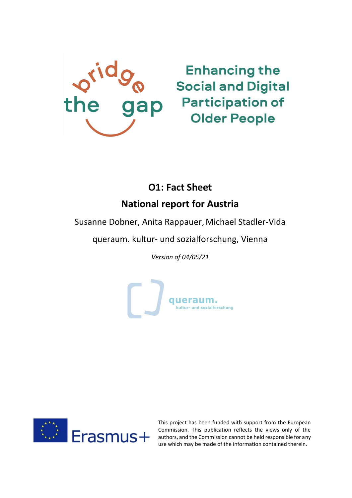

**Enhancing the Social and Digital Participation of Older People** 

# **O1: Fact Sheet National report for Austria**

Susanne Dobner, Anita Rappauer, Michael Stadler-Vida

queraum. kultur- und sozialforschung, Vienna

*Version of 04/05/21*





This project has been funded with support from the European Commission. This publication reflects the views only of the authors, and the Commission cannot be held responsible for any use which may be made of the information contained therein.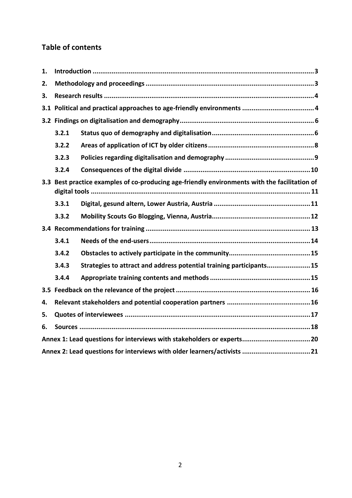# **Table of contents**

| 1.                                                                                            |       |                                                                     |
|-----------------------------------------------------------------------------------------------|-------|---------------------------------------------------------------------|
| 2.                                                                                            |       |                                                                     |
| 3.                                                                                            |       |                                                                     |
|                                                                                               |       |                                                                     |
|                                                                                               |       |                                                                     |
|                                                                                               | 3.2.1 |                                                                     |
|                                                                                               | 3.2.2 |                                                                     |
|                                                                                               | 3.2.3 |                                                                     |
|                                                                                               | 3.2.4 |                                                                     |
| 3.3 Best practice examples of co-producing age-friendly environments with the facilitation of |       |                                                                     |
|                                                                                               | 3.3.1 |                                                                     |
|                                                                                               | 3.3.2 |                                                                     |
|                                                                                               |       |                                                                     |
|                                                                                               | 3.4.1 |                                                                     |
|                                                                                               | 3.4.2 |                                                                     |
|                                                                                               | 3.4.3 | Strategies to attract and address potential training participants15 |
|                                                                                               | 3.4.4 |                                                                     |
|                                                                                               |       |                                                                     |
| 4.                                                                                            |       |                                                                     |
| 5.                                                                                            |       |                                                                     |
| 6.                                                                                            |       |                                                                     |
|                                                                                               |       |                                                                     |
|                                                                                               |       |                                                                     |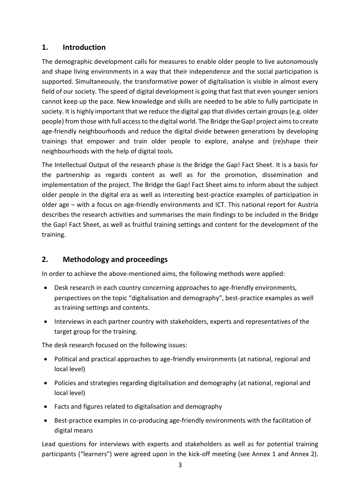# <span id="page-2-0"></span>**1. Introduction**

The demographic development calls for measures to enable older people to live autonomously and shape living environments in a way that their independence and the social participation is supported. Simultaneously, the transformative power of digitalisation is visible in almost every field of our society. The speed of digital development is going that fast that even younger seniors cannot keep up the pace. New knowledge and skills are needed to be able to fully participate in society. It is highly important that we reduce the digital gap that divides certain groups (e.g. older people) from those with full access to the digital world. The Bridge the Gap! project aims to create age-friendly neighbourhoods and reduce the digital divide between generations by developing trainings that empower and train older people to explore, analyse and (re)shape their neighbourhoods with the help of digital tools.

The Intellectual Output of the research phase is the Bridge the Gap! Fact Sheet. It is a basis for the partnership as regards content as well as for the promotion, dissemination and implementation of the project. The Bridge the Gap! Fact Sheet aims to inform about the subject older people in the digital era as well as interesting best-practice examples of participation in older age – with a focus on age-friendly environments and ICT. This national report for Austria describes the research activities and summarises the main findings to be included in the Bridge the Gap! Fact Sheet, as well as fruitful training settings and content for the development of the training.

# <span id="page-2-1"></span>**2. Methodology and proceedings**

In order to achieve the above-mentioned aims, the following methods were applied:

- Desk research in each country concerning approaches to age-friendly environments, perspectives on the topic "digitalisation and demography", best-practice examples as well as training settings and contents.
- Interviews in each partner country with stakeholders, experts and representatives of the target group for the training.

The desk research focused on the following issues:

- Political and practical approaches to age-friendly environments (at national, regional and local level)
- Policies and strategies regarding digitalisation and demography (at national, regional and local level)
- Facts and figures related to digitalisation and demography
- Best-practice examples in co-producing age-friendly environments with the facilitation of digital means

Lead questions for interviews with experts and stakeholders as well as for potential training participants ("learners") were agreed upon in the kick-off meeting (see Annex 1 and Annex 2).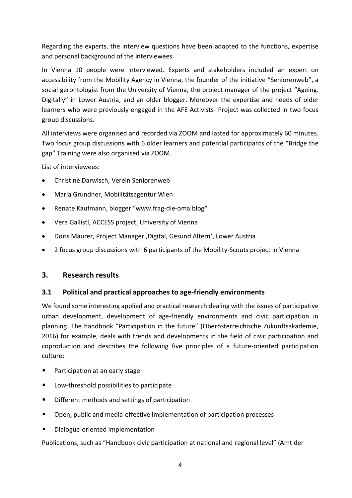Regarding the experts, the interview questions have been adapted to the functions, expertise and personal background of the interviewees.

In Vienna 10 people were interviewed. Experts and stakeholders included an expert on accessibility from the Mobility Agency in Vienna, the founder of the initiative "Seniorenweb", a social gerontologist from the University of Vienna, the project manager of the project "Ageing. Digitally" in Lower Austria, and an older blogger. Moreover the expertise and needs of older learners who were previously engaged in the AFE Activists- Project was collected in two focus group discussions.

All interviews were organised and recorded via ZOOM and lasted for approximately 60 minutes. Two focus group discussions with 6 older learners and potential participants of the "Bridge the gap" Training were also organised via ZOOM.

List of interviewees:

- Christine Darwisch, Verein Seniorenweb
- Maria Grundner, Mobilitätsagentur Wien
- Renate Kaufmann, blogger "www.frag-die-oma.blog"
- Vera Gallistl, ACCESS project, University of Vienna
- Doris Maurer, Project Manager , Digital, Gesund Altern', Lower Austria
- 2 focus group discussions with 6 participants of the Mobility-Scouts project in Vienna

# <span id="page-3-0"></span>**3. Research results**

# <span id="page-3-1"></span>**3.1 Political and practical approaches to age-friendly environments**

We found some interesting applied and practical research dealing with the issues of participative urban development, development of age-friendly environments and civic participation in planning. The handbook "Participation in the future" (Oberösterreichische Zukunftsakademie, 2016) for example, deals with trends and developments in the field of civic participation and coproduction and describes the following five principles of a future-oriented participation culture:

- Participation at an early stage
- Low-threshold possibilities to participate
- Different methods and settings of participation
- Open, public and media-effective implementation of participation processes
- Dialogue-oriented implementation

Publications, such as "Handbook civic participation at national and regional level" (Amt der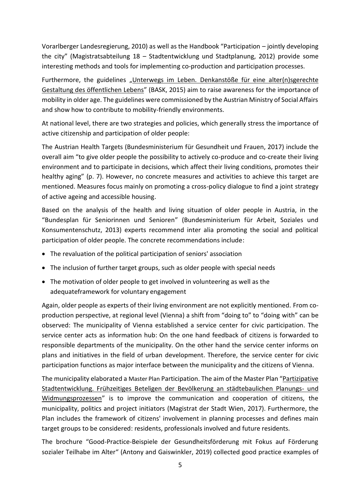Vorarlberger Landesregierung, 2010) as well as the Handbook "Participation – jointly developing the city" (Magistratsabteilung 18 – Stadtentwicklung und Stadtplanung, 2012) provide some interesting methods and tools for implementing co-production and participation processes.

Furthermore, the guidelines "Unterwegs im Leben. Denkanstöße für eine alter(n)sgerechte [Gestaltung des öffentlichen Lebens](http://www.queraum.org/node/157)" (BASK, 2015) aim to raise awareness for the importance of mobility in older age. The guidelines were commissioned by the Austrian Ministry of Social Affairs and show how to contribute to mobility-friendly environments.

At national level, there are two strategies and policies, which generally stress the importance of active citizenship and participation of older people:

The Austrian Health Targets (Bundesministerium für Gesundheit und Frauen, 2017) include the overall aim "to give older people the possibility to actively co-produce and co-create their living environment and to participate in decisions, which affect their living conditions, promotes their healthy aging" (p. 7). However, no concrete measures and activities to achieve this target are mentioned. Measures focus mainly on promoting a cross-policy dialogue to find a joint strategy of active ageing and accessible housing.

Based on the analysis of the health and living situation of older people in Austria, in the "Bundesplan für Seniorinnen und Senioren" (Bundesministerium für Arbeit, Soziales und Konsumentenschutz, 2013) experts recommend inter alia promoting the social and political participation of older people. The concrete recommendations include:

- The revaluation of the political participation of seniors' association
- The inclusion of further target groups, such as older people with special needs
- The motivation of older people to get involved in volunteering as well as the adequateframework for voluntary engagement

Again, older people as experts of their living environment are not explicitly mentioned. From coproduction perspective, at regional level (Vienna) a shift from "doing to" to "doing with" can be observed: The municipality of Vienna established a service center for civic participation. The service center acts as information hub: On the one hand feedback of citizens is forwarded to responsible departments of the municipality. On the other hand the service center informs on plans and initiatives in the field of urban development. Therefore, the service center for civic participation functions as major interface between the municipality and the citizens of Vienna.

The municipality elaborated a [Master Plan](https://www.wien.gv.at/stadtentwicklung/studien/pdf/b008505.pdf) Participation. The aim of the Master Plan "[Partizipative](https://www.wien.gv.at/stadtentwicklung/studien/pdf/b008505.pdf)  [Stadtentwicklung. Frühzeitiges Beteligen der Bevölkerung an städtebaulichen Planungs-](https://www.wien.gv.at/stadtentwicklung/studien/pdf/b008505.pdf) und [Widmungsprozessen](https://www.wien.gv.at/stadtentwicklung/studien/pdf/b008505.pdf)" is to improve the communication and cooperation of citizens, the municipality, politics and project initiators (Magistrat der Stadt Wien, 2017). Furthermore, the Plan includes the framework of citizens' involvement in planning processes and defines main target groups to be considered: residents, professionals involved and future residents.

The brochure "Good-Practice-Beispiele der Gesundheitsförderung mit Fokus auf Förderung sozialer Teilhabe im Alter" (Antony and Gaiswinkler, 2019) collected good practice examples of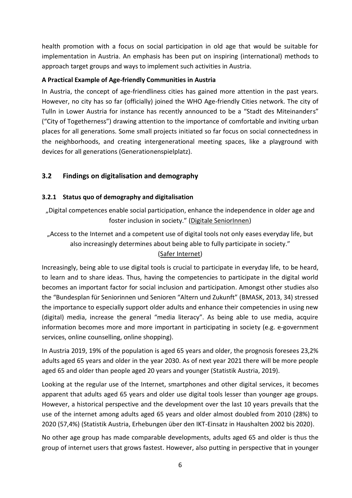health promotion with a focus on social participation in old age that would be suitable for implementation in Austria. An emphasis has been put on inspiring (international) methods to approach target groups and ways to implement such activities in Austria.

#### **A Practical Example of Age-friendly Communities in Austria**

In Austria, the concept of age-friendliness cities has gained more attention in the past years. However, no city has so far (officially) joined the WHO Age-friendly Cities network. The city of Tulln in Lower Austria for instance has recently announced to be a "Stadt des Miteinanders" ("City of Togetherness") drawing attention to the importance of comfortable and inviting urban places for all generations. Some small projects initiated so far focus on social connectedness in the neighborhoods, and creating intergenerational meeting spaces, like a playground with devices for all generations (Generationenspielplatz).

# <span id="page-5-0"></span>**3.2 Findings on digitalisation and demography**

#### <span id="page-5-1"></span>**3.2.1 Status quo of demography and digitalisation**

"Digital competences enable social participation, enhance the independence in older age and foster inclusion in society." [\(Digitale SeniorInnen\)](https://www.digitaleseniorinnen.at/)

"Access to the Internet and a competent use of digital tools not only eases everyday life, but also increasingly determines about being able to fully participate in society."

#### (Safer [Internet\)](https://www.saferinternet.at/zielgruppen/seniorinnen/)

Increasingly, being able to use digital tools is crucial to participate in everyday life, to be heard, to learn and to share ideas. Thus, having the competencies to participate in the digital world becomes an important factor for social inclusion and participation. Amongst other studies also the "Bundesplan für Seniorinnen und Senioren "Altern und Zukunft" (BMASK, 2013, 34) stressed the importance to especially support older adults and enhance their competencies in using new (digital) media, increase the general "media literacy". As being able to use media, acquire information becomes more and more important in participating in society (e.g. e-government services, online counselling, online shopping).

In Austria 2019, 19% of the population is aged 65 years and older, the prognosis foresees 23,2% adults aged 65 years and older in the year 2030. As of next year 2021 there will be more people aged 65 and older than people aged 20 years and younger (Statistik Austria, 2019).

Looking at the regular use of the Internet, smartphones and other digital services, it becomes apparent that adults aged 65 years and older use digital tools lesser than younger age groups. However, a historical perspective and the development over the last 10 years prevails that the use of the internet among adults aged 65 years and older almost doubled from 2010 (28%) to 2020 (57,4%) (Statistik Austria, Erhebungen über den IKT-Einsatz in Haushalten 2002 bis 2020).

No other age group has made comparable developments, adults aged 65 and older is thus the group of internet users that grows fastest. However, also putting in perspective that in younger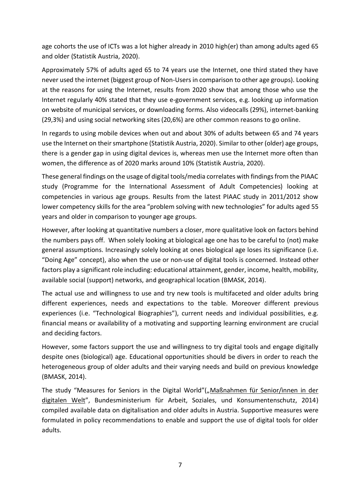age cohorts the use of ICTs was a lot higher already in 2010 high(er) than among adults aged 65 and older (Statistik Austria, 2020).

Approximately 57% of adults aged 65 to 74 years use the Internet, one third stated they have never used the internet (biggest group of Non-Usersin comparison to other age groups). Looking at the reasons for using the Internet, results from 2020 show that among those who use the Internet regularly 40% stated that they use e-government services, e.g. looking up information on website of municipal services, or downloading forms. Also videocalls (29%), internet-banking (29,3%) and using social networking sites (20,6%) are other common reasons to go online.

In regards to using mobile devices when out and about 30% of adults between 65 and 74 years use the Internet on their smartphone (Statistik Austria, 2020). Similar to other (older) age groups, there is a gender gap in using digital devices is, whereas men use the Internet more often than women, the difference as of 2020 marks around 10% (Statistik Austria, 2020).

These general findings on the usage of digital tools/media correlates with findings from the PIAAC study (Programme for the International Assessment of Adult Competencies) looking at competencies in various age groups. Results from the latest PIAAC study in 2011/2012 show lower competency skills for the area "problem solving with new technologies" for adults aged 55 years and older in comparison to younger age groups.

However, after looking at quantitative numbers a closer, more qualitative look on factors behind the numbers pays off. When solely looking at biological age one has to be careful to (not) make general assumptions. Increasingly solely looking at ones biological age loses its significance (i.e. "Doing Age" concept), also when the use or non-use of digital tools is concerned. Instead other factors play a significant role including: educational attainment, gender, income, health, mobility, available social (support) networks, and geographical location (BMASK, 2014).

The actual use and willingness to use and try new tools is multifaceted and older adults bring different experiences, needs and expectations to the table. Moreover different previous experiences (i.e. "Technological Biographies"), current needs and individual possibilities, e.g. financial means or availability of a motivating and supporting learning environment are crucial and deciding factors.

However, some factors support the use and willingness to try digital tools and engage digitally despite ones (biological) age. Educational opportunities should be divers in order to reach the heterogeneous group of older adults and their varying needs and build on previous knowledge (BMASK, 2014).

The study "Measures for Seniors in the Digital World"("Maßnahmen für Senior/innen in der [digitalen Welt](https://www.digitaleseniorinnen.at/fileadmin/redakteure/Downloads/studie_massnahmen_fuer_senorinnen_in_der_digitalen_welt.pdf)", Bundesministerium für Arbeit, Soziales, und Konsumentenschutz, 2014) compiled available data on digitalisation and older adults in Austria. Supportive measures were formulated in policy recommendations to enable and support the use of digital tools for older adults.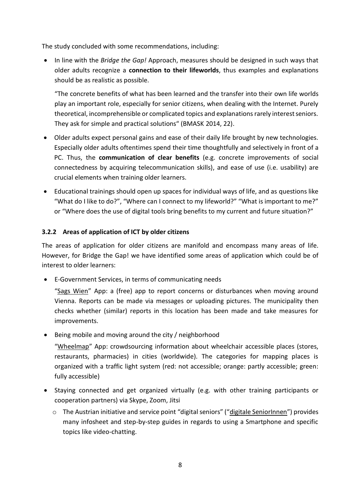The study concluded with some recommendations, including:

• In line with the *Bridge the Gap!* Approach, measures should be designed in such ways that older adults recognize a **connection to their lifeworlds**, thus examples and explanations should be as realistic as possible.

"The concrete benefits of what has been learned and the transfer into their own life worlds play an important role, especially for senior citizens, when dealing with the Internet. Purely theoretical, incomprehensible or complicated topics and explanations rarely interest seniors. They ask for simple and practical solutions" (BMASK 2014, 22).

- Older adults expect personal gains and ease of their daily life brought by new technologies. Especially older adults oftentimes spend their time thoughtfully and selectively in front of a PC. Thus, the **communication of clear benefits** (e.g. concrete improvements of social connectedness by acquiring telecommunication skills), and ease of use (i.e. usability) are crucial elements when training older learners.
- Educational trainings should open up spaces for individual ways of life, and as questions like "What do I like to do?", "Where can I connect to my lifeworld?" "What is important to me?" or "Where does the use of digital tools bring benefits to my current and future situation?"

#### <span id="page-7-0"></span>**3.2.2 Areas of application of ICT by older citizens**

The areas of application for older citizens are manifold and encompass many areas of life. However, for Bridge the Gap! we have identified some areas of application which could be of interest to older learners:

• E-Government Services, in terms of communicating needs

"[Sags Wien](https://www.wien.gv.at/sagswien/))" App: a (free) app to report concerns or disturbances when moving around Vienna. Reports can be made via messages or uploading pictures. The municipality then checks whether (similar) reports in this location has been made and take measures for improvements.

• Being mobile and moving around the city / neighborhood

"[Wheelmap](https://wheelmap.org/)" App: crowdsourcing information about wheelchair accessible places (stores, restaurants, pharmacies) in cities (worldwide). The categories for mapping places is organized with a traffic light system (red: not accessible; orange: partly accessible; green: fully accessible)

- Staying connected and get organized virtually (e.g. with other training participants or cooperation partners) via Skype, Zoom, Jitsi
	- o The Austrian initiative and service point "digital seniors" ("[digitale SeniorInnen](https://www.digitaleseniorinnen.at/leistungen/schulungsmaterialien/)") provides many infosheet and step-by-step guides in regards to using a Smartphone and specific topics like video-chatting.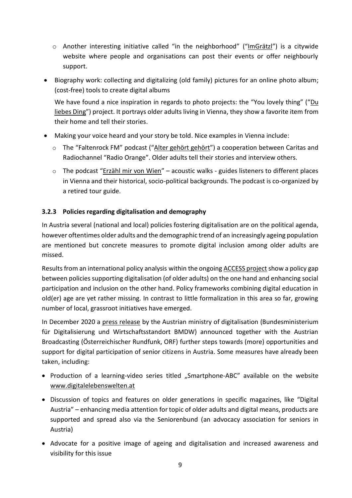- o Another interesting initiative called "in the neighborhood" ("[ImGrätzl](https://www.imgraetzl.at/)") is a citywide website where people and organisations can post their events or offer neighbourly support.
- Biography work: collecting and digitalizing (old family) pictures for an online photo album; (cost-free) tools to create digital albums

We have found a nice inspiration in regards to photo projects: the "You lovely thing" ("Du [liebes Ding](https://www.oida.online/du-liebes-ding/)") project. It portrays older adults living in Vienna, they show a favorite item from their home and tell their stories.

- Making your voice heard and your story be told. Nice examples in Vienna include:
	- $\circ$  The "Faltenrock FM" podcast ("[Alter gehört gehört](https://www.caritas-pflege.at/wien/aktuell/faltenrock-fm/)") a cooperation between Caritas and Radiochannel "Radio Orange". Older adults tell their stories and interview others.
	- $\circ$  The podcast "[Erzähl mir von Wien](https://www.erzaehlmirvon.wien/)" acoustic walks guides listeners to different places in Vienna and their historical, socio-political backgrounds. The podcast is co-organized by a retired tour guide.

# <span id="page-8-0"></span>**3.2.3 Policies regarding digitalisation and demography**

In Austria several (national and local) policies fostering digitalisation are on the political agenda, however oftentimes older adults and the demographic trend of an increasingly ageing population are mentioned but concrete measures to promote digital inclusion among older adults are missed.

Results from an international policy analysis within the ongoing [ACCESS project](https://access.wineme.fb5.uni-siegen.de/) show a policy gap between policies supporting digitalisation (of older adults) on the one hand and enhancing social participation and inclusion on the other hand. Policy frameworks combining digital education in old(er) age are yet rather missing. In contrast to little formalization in this area so far, growing number of local, grassroot initiatives have emerged.

In December 2020 a [press release](https://www.ots.at/presseaussendung/OTS_20201202_OTS0094/bmdworfseniorenrat-wir-machen-unsere-senioren-fit-fuers-internet) by the Austrian ministry of digitalisation (Bundesministerium für Digitalisierung und Wirtschaftsstandort BMDW) announced together with the Austrian Broadcasting (Österreichischer Rundfunk, ORF) further steps towards (more) opportunities and support for digital participation of senior citizens in Austria. Some measures have already been taken, including:

- Production of a learning-video series titled "Smartphone-ABC" available on the website [www.digitalelebenswelten.at](http://www.digitalelebenswelten.at/)
- Discussion of topics and features on older generations in specific magazines, like "Digital Austria" – enhancing media attention for topic of older adults and digital means, products are supported and spread also via the Seniorenbund (an advocacy association for seniors in Austria)
- Advocate for a positive image of ageing and digitalisation and increased awareness and visibility for this issue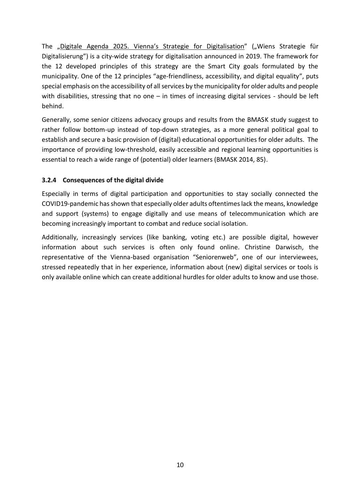The "Digitale Agenda 2025. Vienna'[s Strategie for Digitalisation](https://digitales.wien.gv.at/site/files/2019/09/20190830_DigitaleAgendaWien_2025.pdf%20%5b)" ("Wiens Strategie für Digitalisierung") is a city-wide strategy for [digitalisation](https://digitales.wien.gv.at/site/files/2019/09/20190830_DigitaleAgendaWien_2025.pdf) announced in 2019. The framework for the 12 developed principles of this strategy are the Smart City goals formulated by the municipality. One of the 12 principles "age-friendliness, accessibility, and digital equality", puts special emphasis on the accessibility of all services by the municipality for older adults and people with disabilities, stressing that no one – in times of increasing digital services - should be left behind.

Generally, some senior citizens advocacy groups and results from the BMASK study suggest to rather follow bottom-up instead of top-down strategies, as a more general political goal to establish and secure a basic provision of (digital) educational opportunities for older adults. The importance of providing low-threshold, easily accessible and regional learning opportunities is essential to reach a wide range of (potential) older learners (BMASK 2014, 85).

#### <span id="page-9-0"></span>**3.2.4 Consequences of the digital divide**

Especially in terms of digital participation and opportunities to stay socially connected the COVID19-pandemic has shown that especially older adults oftentimes lack the means, knowledge and support (systems) to engage digitally and use means of telecommunication which are becoming increasingly important to combat and reduce social isolation.

Additionally, increasingly services (like banking, voting etc.) are possible digital, however information about such services is often only found online. Christine Darwisch, the representative of the Vienna-based organisation "Seniorenweb", one of our interviewees, stressed repeatedly that in her experience, information about (new) digital services or tools is only available online which can create additional hurdles for older adults to know and use those.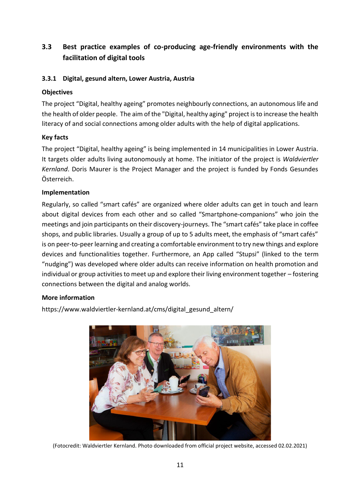# <span id="page-10-0"></span>**3.3 Best practice examples of co-producing age-friendly environments with the facilitation of digital tools**

#### <span id="page-10-1"></span>**3.3.1 Digital, gesund altern, Lower Austria, Austria**

#### **Objectives**

The project "Digital, healthy ageing" promotes neighbourly connections, an autonomous life and the health of older people. The aim of the "Digital, healthy aging" project is to increase the health literacy of and social connections among older adults with the help of digital applications.

#### **Key facts**

The project "Digital, healthy ageing" is being implemented in 14 municipalities in Lower Austria. It targets older adults living autonomously at home. The initiator of the project is *Waldviertler Kernland*. Doris Maurer is the Project Manager and the project is funded by Fonds Gesundes Österreich.

#### **Implementation**

Regularly, so called "smart cafés" are organized where older adults can get in touch and learn about digital devices from each other and so called "Smartphone-companions" who join the meetings and join participants on their discovery-journeys. The "smart cafés" take place in coffee shops, and public libraries. Usually a group of up to 5 adults meet, the emphasis of "smart cafés" is on peer-to-peer learning and creating a comfortable environment to try new things and explore devices and functionalities together. Furthermore, an App called "Stupsi" (linked to the term "nudging") was developed where older adults can receive information on health promotion and individual or group activities to meet up and explore their living environment together – fostering connections between the digital and analog worlds.

#### **More information**

[https://www.waldviertler-kernland.at/cms/digital\\_gesund\\_altern/](https://www.waldviertler-kernland.at/cms/digital_gesund_altern/)



(Fotocredit: Waldviertler Kernland. Photo downloaded from official project website, accessed 02.02.2021)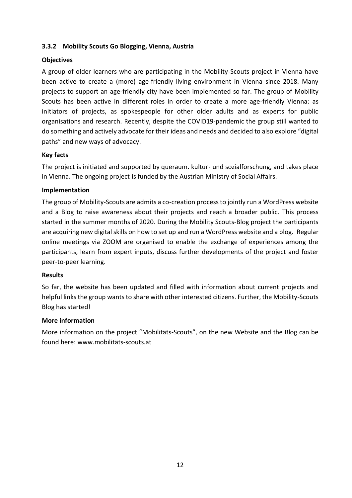#### <span id="page-11-0"></span>**3.3.2 Mobility Scouts Go Blogging, Vienna, Austria**

#### **Objectives**

A group of older learners who are participating in the Mobility-Scouts project in Vienna have been active to create a (more) age-friendly living environment in Vienna since 2018. Many projects to support an age-friendly city have been implemented so far. The group of Mobility Scouts has been active in different roles in order to create a more age-friendly Vienna: as initiators of projects, as spokespeople for other older adults and as experts for public organisations and research. Recently, despite the COVID19-pandemic the group still wanted to do something and actively advocate for their ideas and needs and decided to also explore "digital paths" and new ways of advocacy.

#### **Key facts**

The project is initiated and supported by queraum. kultur- und sozialforschung, and takes place in Vienna. The ongoing project is funded by the Austrian Ministry of Social Affairs.

#### **Implementation**

The group of Mobility-Scouts are admits a co-creation process to jointly run a WordPress website and a Blog to raise awareness about their projects and reach a broader public. This process started in the summer months of 2020. During the Mobility Scouts-Blog project the participants are acquiring new digital skills on how to set up and run a WordPress website and a blog. Regular online meetings via ZOOM are organised to enable the exchange of experiences among the participants, learn from expert inputs, discuss further developments of the project and foster peer-to-peer learning.

#### **Results**

So far, the website has been updated and filled with information about current projects and helpful links the group wants to share with other interested citizens. Further, the Mobility-Scouts Blog has started!

#### **More information**

More information on the project "Mobilitäts-Scouts", on the new Website and the Blog can be found here: [www.mobilitäts-scouts.at](http://www.mobilitäts-scouts.at/)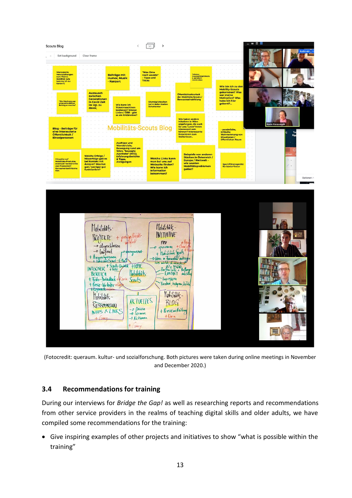

(Fotocredit: queraum. kultur- und sozialforschung. Both pictures were taken during online meetings in November and December 2020.)

# <span id="page-12-0"></span>**3.4 Recommendations for training**

During our interviews for *Bridge the Gap!* as well as researching reports and recommendations from other service providers in the realms of teaching digital skills and older adults, we have compiled some recommendations for the training:

• Give inspiring examples of other projects and initiatives to show "what is possible within the training"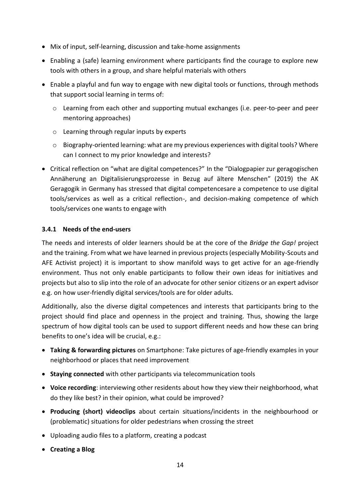- Mix of input, self-learning, discussion and take-home assignments
- Enabling a (safe) learning environment where participants find the courage to explore new tools with others in a group, and share helpful materials with others
- Enable a playful and fun way to engage with new digital tools or functions, through methods that support social learning in terms of:
	- o Learning from each other and supporting mutual exchanges (i.e. peer-to-peer and peer mentoring approaches)
	- o Learning through regular inputs by experts
	- o Biography-oriented learning: what are my previous experiences with digital tools? Where can I connect to my prior knowledge and interests?
- Critical reflection on "what are digital competences?" In the "Dialogpapier zur geragogischen Annäherung an Digitalisierungsprozesse in Bezug auf ältere Menschen" (2019) the AK Geragogik in Germany has stressed that digital competencesare a competence to use digital tools/services as well as a critical reflection-, and decision-making competence of which tools/services one wants to engage with

#### <span id="page-13-0"></span>**3.4.1 Needs of the end-users**

The needs and interests of older learners should be at the core of the *Bridge the Gap!* project and the training. From what we have learned in previous projects (especially Mobility-Scouts and AFE Activist project) it is important to show manifold ways to get active for an age-friendly environment. Thus not only enable participants to follow their own ideas for initiatives and projects but also to slip into the role of an advocate for other senior citizens or an expert advisor e.g. on how user-friendly digital services/tools are for older adults.

Additionally, also the diverse digital competences and interests that participants bring to the project should find place and openness in the project and training. Thus, showing the large spectrum of how digital tools can be used to support different needs and how these can bring benefits to one's idea will be crucial, e.g.:

- **Taking & forwarding pictures** on Smartphone: Take pictures of age-friendly examples in your neighborhood or places that need improvement
- **Staying connected** with other participants via telecommunication tools
- **Voice recording**: interviewing other residents about how they view their neighborhood, what do they like best? in their opinion, what could be improved?
- **Producing (short) videoclips** about certain situations/incidents in the neighbourhood or (problematic) situations for older pedestrians when crossing the street
- Uploading audio files to a platform, creating a podcast
- **Creating a Blog**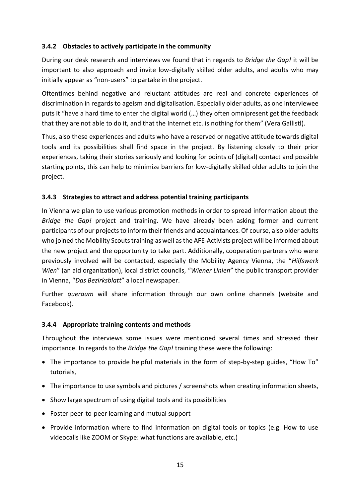#### <span id="page-14-0"></span>**3.4.2 Obstacles to actively participate in the community**

During our desk research and interviews we found that in regards to *Bridge the Gap!* it will be important to also approach and invite low-digitally skilled older adults, and adults who may initially appear as "non-users" to partake in the project.

Oftentimes behind negative and reluctant attitudes are real and concrete experiences of discrimination in regards to ageism and digitalisation. Especially older adults, as one interviewee puts it "have a hard time to enter the digital world (…) they often omnipresent get the feedback that they are not able to do it, and that the Internet etc. is nothing for them" (Vera Gallistl).

Thus, also these experiences and adults who have a reserved or negative attitude towards digital tools and its possibilities shall find space in the project. By listening closely to their prior experiences, taking their stories seriously and looking for points of (digital) contact and possible starting points, this can help to minimize barriers for low-digitally skilled older adults to join the project.

#### <span id="page-14-1"></span>**3.4.3 Strategies to attract and address potential training participants**

In Vienna we plan to use various promotion methods in order to spread information about the *Bridge the Gap!* project and training. We have already been asking former and current participants of our projects to inform their friends and acquaintances. Of course, also older adults who joined the Mobility Scouts training as well as the AFE-Activists project will be informed about the new project and the opportunity to take part. Additionally, cooperation partners who were previously involved will be contacted, especially the Mobility Agency Vienna, the "*Hilfswerk Wien*" (an aid organization), local district councils, "*Wiener Linien*" the public transport provider in Vienna, "*Das Bezirksblatt*" a local newspaper.

Further *queraum* will share information through our own online channels (website and Facebook).

#### <span id="page-14-2"></span>**3.4.4 Appropriate training contents and methods**

Throughout the interviews some issues were mentioned several times and stressed their importance. In regards to the *Bridge the Gap!* training these were the following:

- The importance to provide helpful materials in the form of step-by-step guides, "How To" tutorials,
- The importance to use symbols and pictures / screenshots when creating information sheets,
- Show large spectrum of using digital tools and its possibilities
- Foster peer-to-peer learning and mutual support
- Provide information where to find information on digital tools or topics (e.g. How to use videocalls like ZOOM or Skype: what functions are available, etc.)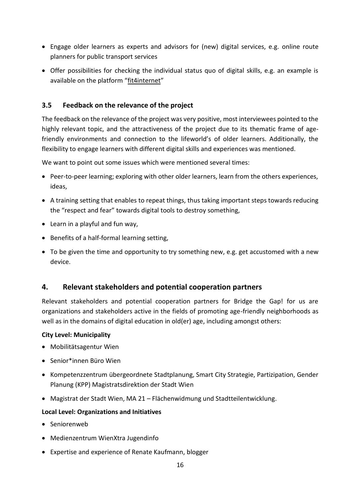- Engage older learners as experts and advisors for (new) digital services, e.g. online route planners for public transport services
- Offer possibilities for checking the individual status quo of digital skills, e.g. an example is available on the platform "[fit4internet](https://www.fit4internet.at/page/assessment)"

### <span id="page-15-0"></span>**3.5 Feedback on the relevance of the project**

The feedback on the relevance of the project was very positive, most interviewees pointed to the highly relevant topic, and the attractiveness of the project due to its thematic frame of agefriendly environments and connection to the lifeworld's of older learners. Additionally, the flexibility to engage learners with different digital skills and experiences was mentioned.

We want to point out some issues which were mentioned several times:

- Peer-to-peer learning; exploring with other older learners, learn from the others experiences, ideas,
- A training setting that enables to repeat things, thus taking important steps towards reducing the "respect and fear" towards digital tools to destroy something,
- Learn in a playful and fun way,
- Benefits of a half-formal learning setting,
- To be given the time and opportunity to try something new, e.g. get accustomed with a new device.

# <span id="page-15-1"></span>**4. Relevant stakeholders and potential cooperation partners**

Relevant stakeholders and potential cooperation partners for Bridge the Gap! for us are organizations and stakeholders active in the fields of promoting age-friendly neighborhoods as well as in the domains of digital education in old(er) age, including amongst others:

#### **City Level: Municipality**

- Mobilitätsagentur Wien
- Senior\*innen Büro Wien
- Kompetenzzentrum übergeordnete Stadtplanung, Smart City Strategie, Partizipation, Gender Planung (KPP) Magistratsdirektion der Stadt Wien
- Magistrat der Stadt Wien, MA 21 Flächenwidmung und Stadtteilentwicklung.

#### **Local Level: Organizations and Initiatives**

- Seniorenweb
- Medienzentrum WienXtra Jugendinfo
- Expertise and experience of Renate Kaufmann, blogger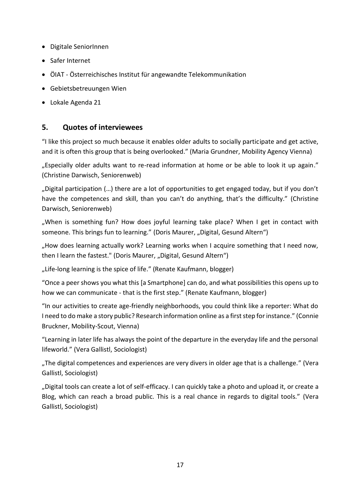- Digitale SeniorInnen
- Safer Internet
- ÖIAT Österreichisches Institut für angewandte Telekommunikation
- Gebietsbetreuungen Wien
- Lokale Agenda 21

# <span id="page-16-0"></span>**5. Quotes of interviewees**

"I like this project so much because it enables older adults to socially participate and get active, and it is often this group that is being overlooked." (Maria Grundner, Mobility Agency Vienna)

"Especially older adults want to re-read information at home or be able to look it up again." (Christine Darwisch, Seniorenweb)

"Digital participation (…) there are a lot of opportunities to get engaged today, but if you don't have the competences and skill, than you can't do anything, that's the difficulty." (Christine Darwisch, Seniorenweb)

"When is something fun? How does joyful learning take place? When I get in contact with someone. This brings fun to learning." (Doris Maurer, "Digital, Gesund Altern")

"How does learning actually work? Learning works when I acquire something that I need now, then I learn the fastest." (Doris Maurer, "Digital, Gesund Altern")

"Life-long learning is the spice of life." (Renate Kaufmann, blogger)

"Once a peer shows you what this [a Smartphone] can do, and what possibilities this opens up to how we can communicate - that is the first step." (Renate Kaufmann, blogger)

"In our activities to create age-friendly neighborhoods, you could think like a reporter: What do I need to do make a story public? Research information online as a first step for instance." (Connie Bruckner, Mobility-Scout, Vienna)

"Learning in later life has always the point of the departure in the everyday life and the personal lifeworld." (Vera Gallistl, Sociologist)

"The digital competences and experiences are very divers in older age that is a challenge." (Vera Gallistl, Sociologist)

"Digital tools can create a lot of self-efficacy. I can quickly take a photo and upload it, or create a Blog, which can reach a broad public. This is a real chance in regards to digital tools." (Vera Gallistl, Sociologist)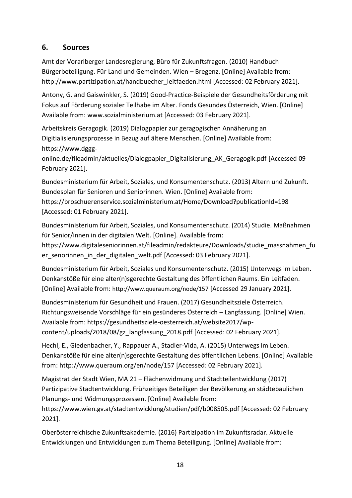# <span id="page-17-0"></span>**6. Sources**

Amt der Vorarlberger Landesregierung, Büro für Zukunftsfragen. (2010) Handbuch Bürgerbeteiligung. Für Land und Gemeinden. Wien – Bregenz. [Online] Available from: http://www.partizipation.at/handbuecher leitfaeden.html [Accessed: 02 February 2021].

Antony, G. and Gaiswinkler, S. (2019) Good-Practice-Beispiele der Gesundheitsförderung mit Fokus auf Förderung sozialer Teilhabe im Alter. Fonds Gesundes Österreich, Wien. [Online] Available from: [www.sozialministerium.at](http://www.sozialministerium.at/) [Accessed: 03 February 2021].

Arbeitskreis Geragogik. (2019) Dialogpapier zur geragogischen Annäherung an Digitialisierungsprozesse in Bezug auf ältere Menschen. [Online] Available from: [https://www.dggg-](https://www.dggg-online.de/fileadmin/aktuelles/Dialogpapier_Digitalisierung_AK_Geragogik.pdf)

[online.de/fileadmin/aktuelles/Dialogpapier\\_Digitalisierung\\_AK\\_Geragogik.pdf](https://www.dggg-online.de/fileadmin/aktuelles/Dialogpapier_Digitalisierung_AK_Geragogik.pdf) [Accessed 09 February 2021].

Bundesministerium für Arbeit, Soziales, und Konsumentenschutz. (2013) Altern und Zukunft. Bundesplan für Senioren und Seniorinnen. Wien. [Online] Available from: <https://broschuerenservice.sozialministerium.at/Home/Download?publicationId=198> [Accessed: 01 February 2021].

Bundesministerium für Arbeit, Soziales, und Konsumentenschutz. (2014) Studie. Maßnahmen für Senior/innen in der digitalen Welt. [Online]. Available from:

[https://www.digitaleseniorinnen.at/fileadmin/redakteure/Downloads/studie\\_massnahmen\\_fu](https://www.digitaleseniorinnen.at/fileadmin/redakteure/Downloads/studie_massnahmen_fuer_senorinnen_in_der_digitalen_welt.pdf) [er\\_senorinnen\\_in\\_der\\_digitalen\\_welt.pdf](https://www.digitaleseniorinnen.at/fileadmin/redakteure/Downloads/studie_massnahmen_fuer_senorinnen_in_der_digitalen_welt.pdf) [Accessed: 03 February 2021].

Bundesministerium für Arbeit, Soziales und Konsumentenschutz. (2015) Unterwegs im Leben. Denkanstöße für eine alter(n)sgerechte Gestaltung des öffentlichen Raums. Ein Leitfaden. [Online] Available from: <http://www.queraum.org/node/157> [Accessed 29 January 2021].

Bundesministerium für Gesundheit und Frauen. (2017) Gesundheitsziele Österreich. Richtungsweisende Vorschläge für ein gesünderes Österreich – Langfassung. [Online] Wien. Available from: https://gesundheitsziele-oesterreich.at/website2017/wpcontent/uploads/2018/08/gz\_langfassung\_2018.pdf [Accessed: 02 February 2021].

Hechl, E., Giedenbacher, Y., Rappauer A., Stadler-Vida, A. (2015) Unterwegs im Leben. Denkanstöße für eine alter(n)sgerechte Gestaltung des öffentlichen Lebens. [Online] Available from:<http://www.queraum.org/en/node/157> [Accessed: 02 February 2021].

Magistrat der Stadt Wien, MA 21 – Flächenwidmung und Stadtteilentwicklung (2017) Partizipative Stadtentwicklung. Frühzeitiges Beteiligen der Bevölkerung an städtebaulichen Planungs- und Widmungsprozessen. [Online] Available from:

<https://www.wien.gv.at/stadtentwicklung/studien/pdf/b008505.pdf> [Accessed: 02 February 2021].

Oberösterreichische Zukunftsakademie. (2016) Partizipation im Zukunftsradar. Aktuelle Entwicklungen und Entwicklungen zum Thema Beteiligung. [Online] Available from: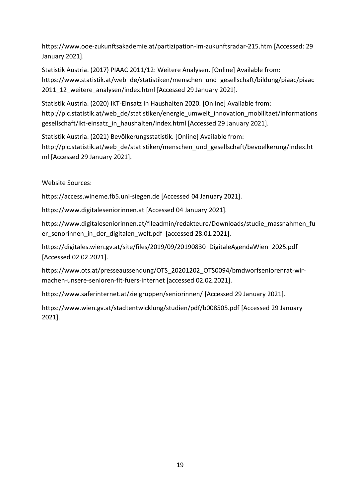<https://www.ooe-zukunftsakademie.at/partizipation-im-zukunftsradar-215.htm> [Accessed: 29 January 2021].

Statistik Austria. (2017) PIAAC 2011/12: Weitere Analysen. [Online] Available from: https://www.statistik.at/web\_de/statistiken/menschen\_und\_gesellschaft/bildung/piaac/piaac\_ 2011\_12\_weitere\_analysen/index.html [Accessed 29 January 2021].

Statistik Austria. (2020) IKT-Einsatz in Haushalten 2020. [Online] Available from: http://pic.statistik.at/web\_de/statistiken/energie\_umwelt\_innovation\_mobilitaet/informations gesellschaft/ikt-einsatz\_in\_haushalten/index.html [Accessed 29 January 2021].

Statistik Austria. (2021) Bevölkerungsstatistik. [Online] Available from: http://pic.statistik.at/web\_de/statistiken/menschen\_und\_gesellschaft/bevoelkerung/index.ht ml [Accessed 29 January 2021].

# Website Sources:

https://access.wineme.fb5.uni-siegen.de [Accessed 04 January 2021].

[https://www.digitaleseniorinnen.at](https://www.digitaleseniorinnen.at/) [Accessed 04 January 2021].

[https://www.digitaleseniorinnen.at/fileadmin/redakteure/Downloads/studie\\_massnahmen\\_fu](https://www.digitaleseniorinnen.at/fileadmin/redakteure/Downloads/studie_massnahmen_fuer_senorinnen_in_der_digitalen_welt.pdf) er senorinnen in der digitalen welt.pdf [accessed 28.01.2021].

[https://digitales.wien.gv.at/site/files/2019/09/20190830\\_DigitaleAgendaWien\\_2025.pdf](https://digitales.wien.gv.at/site/files/2019/09/20190830_DigitaleAgendaWien_2025.pdf) [Accessed 02.02.2021].

[https://www.ots.at/presseaussendung/OTS\\_20201202\\_OTS0094/bmdworfseniorenrat-wir](https://www.ots.at/presseaussendung/OTS_20201202_OTS0094/bmdworfseniorenrat-wir-machen-unsere-senioren-fit-fuers-internet)[machen-unsere-senioren-fit-fuers-internet](https://www.ots.at/presseaussendung/OTS_20201202_OTS0094/bmdworfseniorenrat-wir-machen-unsere-senioren-fit-fuers-internet) [accessed 02.02.2021].

<https://www.saferinternet.at/zielgruppen/seniorinnen/> [Accessed 29 January 2021].

<https://www.wien.gv.at/stadtentwicklung/studien/pdf/b008505.pdf> [Accessed 29 January 2021].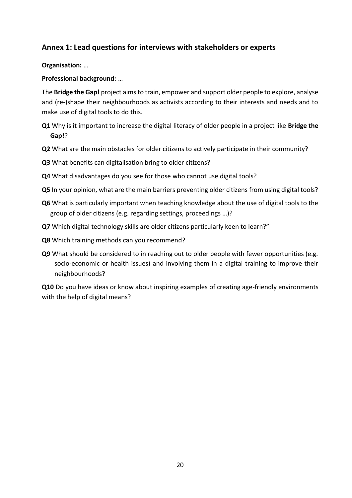# <span id="page-19-0"></span>**Annex 1: Lead questions for interviews with stakeholders or experts**

**Organisation:** …

**Professional background:** …

The **Bridge the Gap!** project aims to train, empower and support older people to explore, analyse and (re-)shape their neighbourhoods as activists according to their interests and needs and to make use of digital tools to do this.

- **Q1** Why is it important to increase the digital literacy of older people in a project like **Bridge the Gap!**?
- **Q2** What are the main obstacles for older citizens to actively participate in their community?
- **Q3** What benefits can digitalisation bring to older citizens?
- **Q4** What disadvantages do you see for those who cannot use digital tools?
- **Q5** In your opinion, what are the main barriers preventing older citizens from using digital tools?
- **Q6** What is particularly important when teaching knowledge about the use of digital tools to the group of older citizens (e.g. regarding settings, proceedings …)?
- **Q7** Which digital technology skills are older citizens particularly keen to learn?"
- **Q8** Which training methods can you recommend?
- **Q9** What should be considered to in reaching out to older people with fewer opportunities (e.g. socio-economic or health issues) and involving them in a digital training to improve their neighbourhoods?

**Q10** Do you have ideas or know about inspiring examples of creating age-friendly environments with the help of digital means?